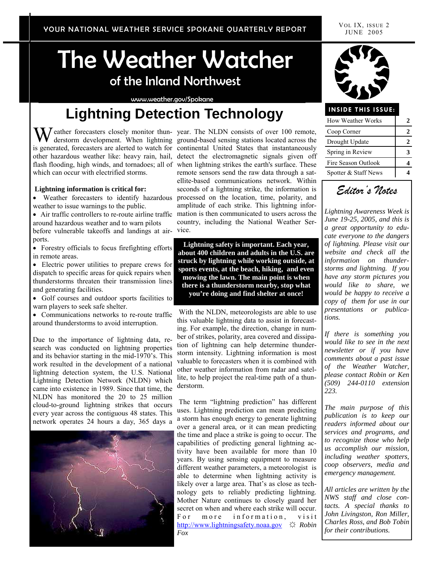# The Weather Watcher of the Inland Northwest

www.weather.gov/Spokane

## **Lightning Detection Technology**

W eather forecasters closely monitor thun-year. The NLDN consists of over 100 remote, derstorm development. When lightning ground-based sensing stations located across the which can occur with electrified storms.

#### **Lightning information is critical for:**

weather to issue warnings to the public.

around hazardous weather and to warn pilots before vulnerable takeoffs and landings at air-vice. ports.

• Forestry officials to focus firefighting efforts in remote areas.

• Electric power utilities to prepare crews for dispatch to specific areas for quick repairs when thunderstorms threaten their transmission lines and generating facilities.

• Golf courses and outdoor sports facilities to warn players to seek safe shelter.

• Communications networks to re-route traffic around thunderstorms to avoid interruption.

Due to the importance of lightning data, research was conducted on lightning properties and its behavior starting in the mid-1970's. This work resulted in the development of a national lightning detection system, the U.S. National Lightning Detection Network (NLDN) which came into existence in 1989. Since that time, the NLDN has monitored the 20 to 25 million cloud-to-ground lightning strikes that occurs every year across the contiguous 48 states. This network operates 24 hours a day, 365 days a



derstorm development. When lightning ground-based sensing stations located across the is generated, forecasters are alerted to watch for continental United States that instantaneously other hazardous weather like: heavy rain, hail, detect the electromagnetic signals given off flash flooding, high winds, and tornadoes; all of when lightning strikes the earth's surface. These • Weather forecasters to identify hazardous processed on the location, time, polarity, and • Air traffic controllers to re-route airline traffic mation is then communicated to users across the remote sensors send the raw data through a satellite-based communications network. Within seconds of a lightning strike, the information is amplitude of each strike. This lightning inforcountry, including the National Weather Ser-

> **Lightning safety is important. Each year, about 400 children and adults in the U.S. are struck by lightning while working outside, at sports events, at the beach, hiking, and even mowing the lawn. The main point is when there is a thunderstorm nearby, stop what you're doing and find shelter at once!**

 With the NLDN, meteorologists are able to use this valuable lightning data to assist in forecasting. For example, the direction, change in number of strikes, polarity, area covered and dissipation of lightning can help determine thunderstorm intensity. Lightning information is most valuable to forecasters when it is combined with other weather information from radar and satellite, to help project the real-time path of a thunderstorm.

 The term "lightning prediction" has different uses. Lightning prediction can mean predicting a storm has enough energy to generate lightning over a general area, or it can mean predicting the time and place a strike is going to occur. The capabilities of predicting general lightning activity have been available for more than 10 years. By using sensing equipment to measure different weather parameters, a meteorologist is able to determine when lightning activity is likely over a large area. That's as close as technology gets to reliably predicting lightning. Mother Nature continues to closely guard her secret on when and where each strike will occur. For more information, visit http://www.lightningsafety.noaa.gov ☼ *Robin Fox*



#### **INSIDE THIS ISSUE:**

| <b>How Weather Works</b> |  |
|--------------------------|--|
| Coop Corner              |  |
| Drought Update           |  |
| Spring in Review         |  |
| Fire Season Outlook      |  |
| Spotter & Staff News     |  |

*Editor's Notes*

*Lightning Awareness Week is June 19-25, 2005, and this is a great opportunity to educate everyone to the dangers of lightning. Please visit our website and check all the information on thunderstorms and lightning. If you have any storm pictures you would like to share, we would be happy to receive a copy of them for use in our presentations or publications.* 

*If there is something you would like to see in the next newsletter or if you have comments about a past issue of the Weather Watcher, please contact Robin or Ken (509) 244-0110 extension 223.* 

*The main purpose of this publication is to keep our readers informed about our services and programs, and to recognize those who help us accomplish our mission, including weather spotters, coop observers, media and emergency management.* 

*All articles are written by the NWS staff and close contacts. A special thanks to John Livingston, Ron Miller, Charles Ross, and Bob Tobin for their contributions.*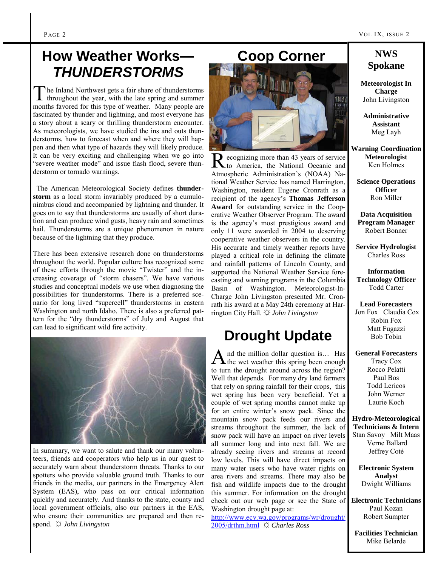### **How Weather Works—**  *THUNDERSTORMS*

The Inland Northwest gets a fair share of thunderstorms throughout the year, with the late spring and summer months favored for this type of weather. Many people are fascinated by thunder and lightning, and most everyone has a story about a scary or thrilling thunderstorm encounter. As meteorologists, we have studied the ins and outs thunderstorms, how to forecast when and where they will happen and then what type of hazards they will likely produce. It can be very exciting and challenging when we go into "severe weather mode" and issue flash flood, severe thunderstorm or tornado warnings.

 The American Meteorological Society defines **thunderstorm** as a local storm invariably produced by a cumulonimbus cloud and accompanied by lightning and thunder. It goes on to say that thunderstorms are usually of short duration and can produce wind gusts, heavy rain and sometimes hail. Thunderstorms are a unique phenomenon in nature because of the lightning that they produce.

There has been extensive research done on thunderstorms throughout the world. Popular culture has recognized some of these efforts through the movie "Twister" and the increasing coverage of "storm chasers". We have various studies and conceptual models we use when diagnosing the possibilities for thunderstorms. There is a preferred scenario for long lived "supercell" thunderstorms in eastern Washington and north Idaho. There is also a preferred pattern for the "dry thunderstorms" of July and August that can lead to significant wild fire activity.



In summary, we want to salute and thank our many volunteers, friends and cooperators who help us in our quest to accurately warn about thunderstorm threats. Thanks to our spotters who provide valuable ground truth. Thanks to our friends in the media, our partners in the Emergency Alert System (EAS), who pass on our critical information quickly and accurately. And thanks to the state, county and local government officials, also our partners in the EAS, who ensure their communities are prepared and then respond. ☼ *John Livingston*

#### **Coop Corner**



R ecognizing more than 43 years of service to America, the National Oceanic and Atmospheric Administration's (NOAA) National Weather Service has named Harrington, Washington, resident Eugene Cronrath as a recipient of the agency's **Thomas Jefferson Award** for outstanding service in the Cooperative Weather Observer Program. The award is the agency's most prestigious award and only 11 were awarded in 2004 to deserving cooperative weather observers in the country. His accurate and timely weather reports have played a critical role in defining the climate and rainfall patterns of Lincoln County, and supported the National Weather Service forecasting and warning programs in the Columbia Basin of Washington. Meteorologist-In-Charge John Livingston presented Mr. Cronrath his award at a May 24th ceremony at Harrington City Hall. ☼ *John Livingston*

### **Drought Update**

 $A$  nd the million dollar question is... Has the wet weather this spring been enough to turn the drought around across the region? Well that depends. For many dry land farmers that rely on spring rainfall for their crops, this wet spring has been very beneficial. Yet a couple of wet spring months cannot make up for an entire winter's snow pack. Since the mountain snow pack feeds our rivers and streams throughout the summer, the lack of snow pack will have an impact on river levels all summer long and into next fall. We are already seeing rivers and streams at record low levels. This will have direct impacts on many water users who have water rights on area rivers and streams. There may also be fish and wildlife impacts due to the drought this summer. For information on the drought check out our web page or see the State of Washington drought page at:

http://www.ecy.wa.gov/programs/wr/drought/ 2005/drthm.html ☼ *Charles Ross*

#### **NWS Spokane**

**Meteorologist In Charge**  John Livingston

**Administrative Assistant**  Meg Layh

**Warning Coordination Meteorologist**  Ken Holmes

**Science Operations Officer**  Ron Miller

**Data Acquisition Program Manager**  Robert Bonner

**Service Hydrologist**  Charles Ross

**Information Technology Officer**  Todd Carter

**Lead Forecasters** Jon Fox Claudia Cox Robin Fox Matt Fugazzi Bob Tobin

**General Forecasters**  Tracy Cox Rocco Pelatti Paul Bos Todd Lericos John Werner Laurie Koch

**Hydro-Meteorological Technicians & Intern**  Stan Savoy Milt Maas Verne Ballard Jeffrey Coté

**Electronic System Analyst**  Dwight Williams

**Electronic Technicians**  Paul Kozan Robert Sumpter

**Facilities Technician**  Mike Belarde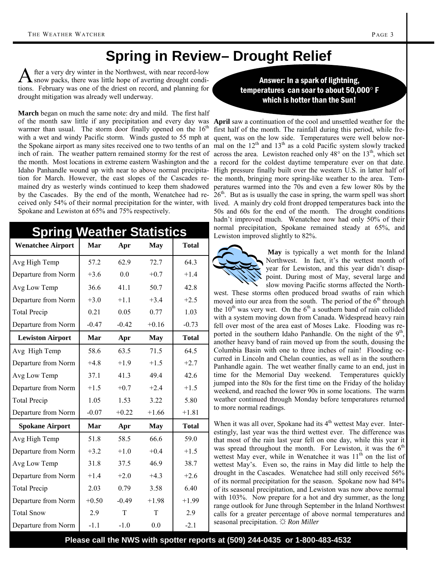### **Spring in Review– Drought Relief**

fter a very dry winter in the Northwest, with near record-low snow packs, there was little hope of averting drought conditions. February was one of the driest on record, and planning for drought mitigation was already well underway.

**March** began on much the same note: dry and mild. The first half warmer than usual. The storm door finally opened on the  $16<sup>th</sup>$ with a wet and windy Pacific storm. Winds gusted to 55 mph at quent, was on the low side. Temperatures were well below nortion for March. However, the east slopes of the Cascades re-the month, bringing more spring-like weather to the area. Temmained dry as westerly winds continued to keep them shadowed by the Cascades. By the end of the month, Wenatchee had re-Spokane and Lewiston at 65% and 75% respectively.

| <b>Spring Weather Statistics</b> |         |         |            |              |  |
|----------------------------------|---------|---------|------------|--------------|--|
| <b>Wenatchee Airport</b>         | Mar     | Apr     | May        | <b>Total</b> |  |
| Avg High Temp                    | 57.2    | 62.9    | 72.7       | 64.3         |  |
| Departure from Norm              | $+3.6$  | 0.0     | $+0.7$     | $+1.4$       |  |
| Avg Low Temp                     | 36.6    | 41.1    | 50.7       | 42.8         |  |
| Departure from Norm              | $+3.0$  | $+1.1$  | $+3.4$     | $+2.5$       |  |
| <b>Total Precip</b>              | 0.21    | 0.05    | 0.77       | 1.03         |  |
| Departure from Norm              | $-0.47$ | $-0.42$ | $+0.16$    | $-0.73$      |  |
| <b>Lewiston Airport</b>          | Mar     | Apr     | <b>May</b> | <b>Total</b> |  |
| Avg High Temp                    | 58.6    | 63.5    | 71.5       | 64.5         |  |
| Departure from Norm              | $+4.8$  | $+1.9$  | $+1.5$     | $+2.7$       |  |
| Avg Low Temp                     | 37.1    | 41.3    | 49.4       | 42.6         |  |
| Departure from Norm              | $+1.5$  | $+0.7$  | $+2.4$     | $+1.5$       |  |
| <b>Total Precip</b>              | 1.05    | 1.53    | 3.22       | 5.80         |  |
| Departure from Norm              | $-0.07$ | $+0.22$ | $+1.66$    | $+1.81$      |  |
| <b>Spokane Airport</b>           | Mar     | Apr     | <b>May</b> | <b>Total</b> |  |
| Avg High Temp                    | 51.8    | 58.5    | 66.6       | 59.0         |  |
| Departure from Norm              | $+3.2$  | $+1.0$  | $+0.4$     | $+1.5$       |  |
| Avg Low Temp                     | 31.8    | 37.5    | 46.9       | 38.7         |  |
| Departure from Norm              | $+1.4$  | $+2.0$  | $+4.3$     | $+2.6$       |  |
| <b>Total Precip</b>              | 2.03    | 0.79    | 3.58       | 6.40         |  |
| Departure from Norm              | $+0.50$ | $-0.49$ | $+1.98$    | $+1.99$      |  |
| <b>Total Snow</b>                | 2.9     | T       | T          | 2.9          |  |
| Departure from Norm              | $-1.1$  | $-1.0$  | 0.0        | $-2.1$       |  |

Answer: In a spark of lightning, temperatures can soar to about 50,000° F which is hotter than the Sun!

of the month saw little if any precipitation and every day was **April** saw a continuation of the cool and unsettled weather for the the Spokane airport as many sites received one to two tenths of an mal on the  $12<sup>th</sup>$  and  $13<sup>th</sup>$  as a cold Pacific system slowly tracked inch of rain. The weather pattern remained stormy for the rest of across the area. Lewiston reached only  $48^\circ$  on the  $13^\text{th}$ , which set the month. Most locations in extreme eastern Washington and the a record for the coldest daytime temperature ever on that date. Idaho Panhandle wound up with near to above normal precipita- High pressure finally built over the western U.S. in latter half of ceived only 54% of their normal precipitation for the winter, with lived. A mainly dry cold front dropped temperatures back into the first half of the month. The rainfall during this period, while freperatures warmed into the 70s and even a few lower 80s by the  $26<sup>th</sup>$ . But as is usually the case in spring, the warm spell was short 50s and 60s for the end of the month. The drought conditions hadn't improved much. Wenatchee now had only 50% of their normal precipitation, Spokane remained steady at 65%, and Lewiston improved slightly to 82%.



**May** is typically a wet month for the Inland Northwest. In fact, it's the wettest month of year for Lewiston, and this year didn't disappoint. During most of May, several large and slow moving Pacific storms affected the North-

west. These storms often produced broad swaths of rain which moved into our area from the south. The period of the  $6<sup>th</sup>$  through the  $10<sup>th</sup>$  was very wet. On the  $6<sup>th</sup>$  a southern band of rain collided with a system moving down from Canada. Widespread heavy rain fell over most of the area east of Moses Lake. Flooding was reported in the southern Idaho Panhandle. On the night of the  $9<sup>th</sup>$ , another heavy band of rain moved up from the south, dousing the Columbia Basin with one to three inches of rain! Flooding occurred in Lincoln and Chelan counties, as well as in the southern Panhandle again. The wet weather finally came to an end, just in time for the Memorial Day weekend. Temperatures quickly jumped into the 80s for the first time on the Friday of the holiday weekend, and reached the lower 90s in some locations. The warm weather continued through Monday before temperatures returned to more normal readings.

When it was all over, Spokane had its  $4<sup>th</sup>$  wettest May ever. Interestingly, last year was the third wettest ever. The difference was that most of the rain last year fell on one day, while this year it was spread throughout the month. For Lewiston, it was the  $6<sup>th</sup>$ wettest May ever, while in Wenatchee it was  $11<sup>th</sup>$  on the list of wettest May's. Even so, the rains in May did little to help the drought in the Cascades. Wenatchee had still only received 56% of its normal precipitation for the season. Spokane now had 84% of its seasonal precipitation, and Lewiston was now above normal with 103%. Now prepare for a hot and dry summer, as the long range outlook for June through September in the Inland Northwest calls for a greater percentage of above normal temperatures and seasonal precipitation. ☼ *Ron Miller*

**Please call the NWS with spotter reports at (509) 244-0435 or 1-800-483-4532**